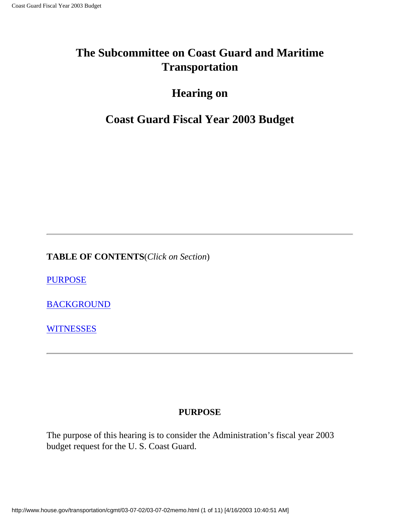## **The Subcommittee on Coast Guard and Maritime Transportation**

## **Hearing on**

## **Coast Guard Fiscal Year 2003 Budget**

**TABLE OF CONTENTS**(*Click on Section*)

[PURPOSE](#page-0-0)

**[BACKGROUND](#page-1-0)** 

**[WITNESSES](#page-10-0)** 

## **PURPOSE**

<span id="page-0-0"></span>The purpose of this hearing is to consider the Administration's fiscal year 2003 budget request for the U. S. Coast Guard.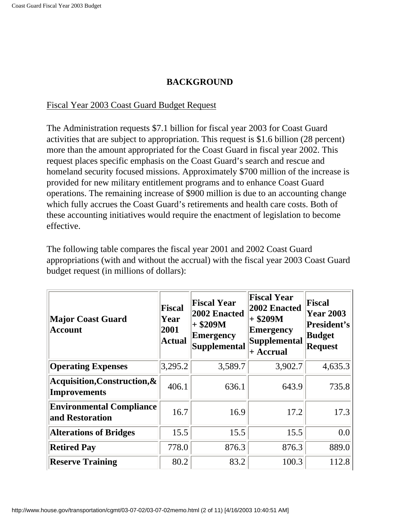### **BACKGROUND**

#### <span id="page-1-0"></span>Fiscal Year 2003 Coast Guard Budget Request

The Administration requests \$7.1 billion for fiscal year 2003 for Coast Guard activities that are subject to appropriation. This request is \$1.6 billion (28 percent) more than the amount appropriated for the Coast Guard in fiscal year 2002. This request places specific emphasis on the Coast Guard's search and rescue and homeland security focused missions. Approximately \$700 million of the increase is provided for new military entitlement programs and to enhance Coast Guard operations. The remaining increase of \$900 million is due to an accounting change which fully accrues the Coast Guard's retirements and health care costs. Both of these accounting initiatives would require the enactment of legislation to become effective.

The following table compares the fiscal year 2001 and 2002 Coast Guard appropriations (with and without the accrual) with the fiscal year 2003 Coast Guard budget request (in millions of dollars):

| <b>Major Coast Guard</b><br><b>Account</b>          | <b>Fiscal</b><br>Year<br>2001<br><b>Actual</b> | <b>Fiscal Year</b><br>2002 Enacted<br>$+$ \$209M<br><b>Emergency</b><br><b>Supplemental</b> | <b>Fiscal Year</b><br>2002 Enacted<br>$+$ \$209M<br><b>Emergency</b><br>Supplemental<br>+ Accrual | Fiscal<br><b>Year 2003</b><br><b>President's</b><br><b>Budget</b><br><b>Request</b> |
|-----------------------------------------------------|------------------------------------------------|---------------------------------------------------------------------------------------------|---------------------------------------------------------------------------------------------------|-------------------------------------------------------------------------------------|
| <b>Operating Expenses</b>                           | 3,295.2                                        | 3,589.7                                                                                     | 3,902.7                                                                                           | 4,635.3                                                                             |
| Acquisition, Construction, &<br><b>Improvements</b> | 406.1                                          | 636.1                                                                                       | 643.9                                                                                             | 735.8                                                                               |
| <b>Environmental Compliance</b><br>and Restoration  | 16.7                                           | 16.9                                                                                        | 17.2                                                                                              | 17.3                                                                                |
| <b>Alterations of Bridges</b>                       | 15.5                                           | 15.5                                                                                        | 15.5                                                                                              | 0.0                                                                                 |
| <b>Retired Pay</b>                                  | 778.0                                          | 876.3                                                                                       | 876.3                                                                                             | 889.0                                                                               |
| <b>Reserve Training</b>                             | 80.2                                           | 83.2                                                                                        | 100.3                                                                                             | 112.8                                                                               |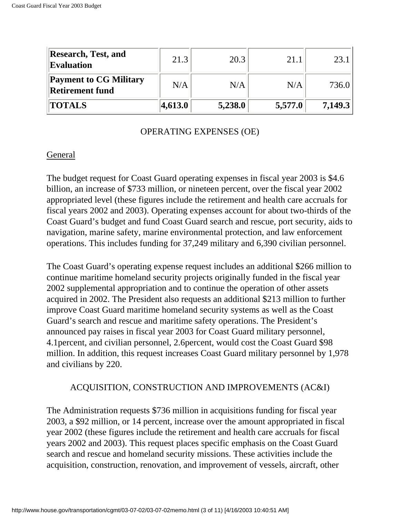| <b>Research, Test, and</b><br><b>Evaluation</b>         | 21.3    | 20.3    | 21.1    | 23.     |
|---------------------------------------------------------|---------|---------|---------|---------|
| <b>Payment to CG Military</b><br><b>Retirement fund</b> | N/A     | N/A     | N/A     | 736.0   |
| <b>TOTALS</b>                                           | 4,613.0 | 5,238.0 | 5,577.0 | 7,149.3 |

#### OPERATING EXPENSES (OE)

#### General

The budget request for Coast Guard operating expenses in fiscal year 2003 is \$4.6 billion, an increase of \$733 million, or nineteen percent, over the fiscal year 2002 appropriated level (these figures include the retirement and health care accruals for fiscal years 2002 and 2003). Operating expenses account for about two-thirds of the Coast Guard's budget and fund Coast Guard search and rescue, port security, aids to navigation, marine safety, marine environmental protection, and law enforcement operations. This includes funding for 37,249 military and 6,390 civilian personnel.

The Coast Guard's operating expense request includes an additional \$266 million to continue maritime homeland security projects originally funded in the fiscal year 2002 supplemental appropriation and to continue the operation of other assets acquired in 2002. The President also requests an additional \$213 million to further improve Coast Guard maritime homeland security systems as well as the Coast Guard's search and rescue and maritime safety operations. The President's announced pay raises in fiscal year 2003 for Coast Guard military personnel, 4.1percent, and civilian personnel, 2.6percent, would cost the Coast Guard \$98 million. In addition, this request increases Coast Guard military personnel by 1,978 and civilians by 220.

### ACQUISITION, CONSTRUCTION AND IMPROVEMENTS (AC&I)

The Administration requests \$736 million in acquisitions funding for fiscal year 2003, a \$92 million, or 14 percent, increase over the amount appropriated in fiscal year 2002 (these figures include the retirement and health care accruals for fiscal years 2002 and 2003). This request places specific emphasis on the Coast Guard search and rescue and homeland security missions. These activities include the acquisition, construction, renovation, and improvement of vessels, aircraft, other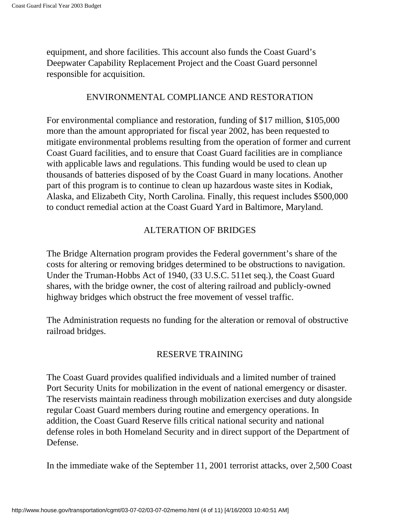equipment, and shore facilities. This account also funds the Coast Guard's Deepwater Capability Replacement Project and the Coast Guard personnel responsible for acquisition.

#### ENVIRONMENTAL COMPLIANCE AND RESTORATION

For environmental compliance and restoration, funding of \$17 million, \$105,000 more than the amount appropriated for fiscal year 2002, has been requested to mitigate environmental problems resulting from the operation of former and current Coast Guard facilities, and to ensure that Coast Guard facilities are in compliance with applicable laws and regulations. This funding would be used to clean up thousands of batteries disposed of by the Coast Guard in many locations. Another part of this program is to continue to clean up hazardous waste sites in Kodiak, Alaska, and Elizabeth City, North Carolina. Finally, this request includes \$500,000 to conduct remedial action at the Coast Guard Yard in Baltimore, Maryland.

#### ALTERATION OF BRIDGES

The Bridge Alternation program provides the Federal government's share of the costs for altering or removing bridges determined to be obstructions to navigation. Under the Truman-Hobbs Act of 1940, (33 U.S.C. 511et seq.), the Coast Guard shares, with the bridge owner, the cost of altering railroad and publicly-owned highway bridges which obstruct the free movement of vessel traffic.

The Administration requests no funding for the alteration or removal of obstructive railroad bridges.

### RESERVE TRAINING

The Coast Guard provides qualified individuals and a limited number of trained Port Security Units for mobilization in the event of national emergency or disaster. The reservists maintain readiness through mobilization exercises and duty alongside regular Coast Guard members during routine and emergency operations. In addition, the Coast Guard Reserve fills critical national security and national defense roles in both Homeland Security and in direct support of the Department of Defense.

In the immediate wake of the September 11, 2001 terrorist attacks, over 2,500 Coast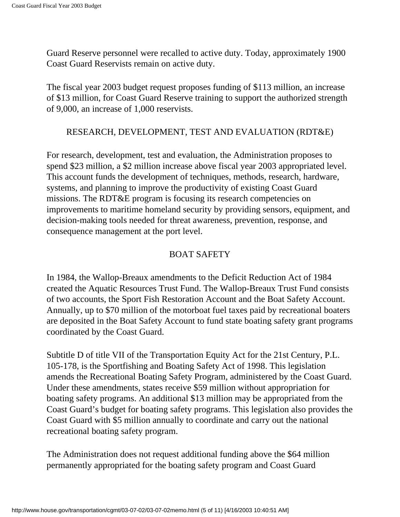Guard Reserve personnel were recalled to active duty. Today, approximately 1900 Coast Guard Reservists remain on active duty.

The fiscal year 2003 budget request proposes funding of \$113 million, an increase of \$13 million, for Coast Guard Reserve training to support the authorized strength of 9,000, an increase of 1,000 reservists.

#### RESEARCH, DEVELOPMENT, TEST AND EVALUATION (RDT&E)

For research, development, test and evaluation, the Administration proposes to spend \$23 million, a \$2 million increase above fiscal year 2003 appropriated level. This account funds the development of techniques, methods, research, hardware, systems, and planning to improve the productivity of existing Coast Guard missions. The RDT&E program is focusing its research competencies on improvements to maritime homeland security by providing sensors, equipment, and decision-making tools needed for threat awareness, prevention, response, and consequence management at the port level.

#### BOAT SAFETY

In 1984, the Wallop-Breaux amendments to the Deficit Reduction Act of 1984 created the Aquatic Resources Trust Fund. The Wallop-Breaux Trust Fund consists of two accounts, the Sport Fish Restoration Account and the Boat Safety Account. Annually, up to \$70 million of the motorboat fuel taxes paid by recreational boaters are deposited in the Boat Safety Account to fund state boating safety grant programs coordinated by the Coast Guard.

Subtitle D of title VII of the Transportation Equity Act for the 21st Century, P.L. 105-178, is the Sportfishing and Boating Safety Act of 1998. This legislation amends the Recreational Boating Safety Program, administered by the Coast Guard. Under these amendments, states receive \$59 million without appropriation for boating safety programs. An additional \$13 million may be appropriated from the Coast Guard's budget for boating safety programs. This legislation also provides the Coast Guard with \$5 million annually to coordinate and carry out the national recreational boating safety program.

The Administration does not request additional funding above the \$64 million permanently appropriated for the boating safety program and Coast Guard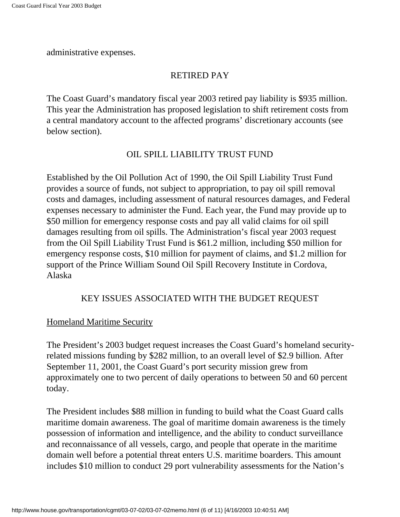administrative expenses.

### RETIRED PAY

The Coast Guard's mandatory fiscal year 2003 retired pay liability is \$935 million. This year the Administration has proposed legislation to shift retirement costs from a central mandatory account to the affected programs' discretionary accounts (see below section).

### OIL SPILL LIABILITY TRUST FUND

Established by the Oil Pollution Act of 1990, the Oil Spill Liability Trust Fund provides a source of funds, not subject to appropriation, to pay oil spill removal costs and damages, including assessment of natural resources damages, and Federal expenses necessary to administer the Fund. Each year, the Fund may provide up to \$50 million for emergency response costs and pay all valid claims for oil spill damages resulting from oil spills. The Administration's fiscal year 2003 request from the Oil Spill Liability Trust Fund is \$61.2 million, including \$50 million for emergency response costs, \$10 million for payment of claims, and \$1.2 million for support of the Prince William Sound Oil Spill Recovery Institute in Cordova, Alaska

### KEY ISSUES ASSOCIATED WITH THE BUDGET REQUEST

#### Homeland Maritime Security

The President's 2003 budget request increases the Coast Guard's homeland securityrelated missions funding by \$282 million, to an overall level of \$2.9 billion. After September 11, 2001, the Coast Guard's port security mission grew from approximately one to two percent of daily operations to between 50 and 60 percent today.

The President includes \$88 million in funding to build what the Coast Guard calls maritime domain awareness. The goal of maritime domain awareness is the timely possession of information and intelligence, and the ability to conduct surveillance and reconnaissance of all vessels, cargo, and people that operate in the maritime domain well before a potential threat enters U.S. maritime boarders. This amount includes \$10 million to conduct 29 port vulnerability assessments for the Nation's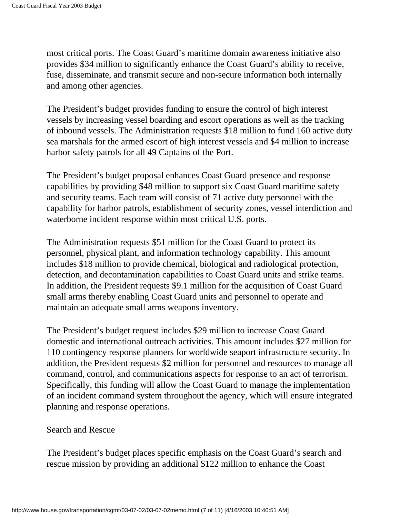most critical ports. The Coast Guard's maritime domain awareness initiative also provides \$34 million to significantly enhance the Coast Guard's ability to receive, fuse, disseminate, and transmit secure and non-secure information both internally and among other agencies.

The President's budget provides funding to ensure the control of high interest vessels by increasing vessel boarding and escort operations as well as the tracking of inbound vessels. The Administration requests \$18 million to fund 160 active duty sea marshals for the armed escort of high interest vessels and \$4 million to increase harbor safety patrols for all 49 Captains of the Port.

The President's budget proposal enhances Coast Guard presence and response capabilities by providing \$48 million to support six Coast Guard maritime safety and security teams. Each team will consist of 71 active duty personnel with the capability for harbor patrols, establishment of security zones, vessel interdiction and waterborne incident response within most critical U.S. ports.

The Administration requests \$51 million for the Coast Guard to protect its personnel, physical plant, and information technology capability. This amount includes \$18 million to provide chemical, biological and radiological protection, detection, and decontamination capabilities to Coast Guard units and strike teams. In addition, the President requests \$9.1 million for the acquisition of Coast Guard small arms thereby enabling Coast Guard units and personnel to operate and maintain an adequate small arms weapons inventory.

The President's budget request includes \$29 million to increase Coast Guard domestic and international outreach activities. This amount includes \$27 million for 110 contingency response planners for worldwide seaport infrastructure security. In addition, the President requests \$2 million for personnel and resources to manage all command, control, and communications aspects for response to an act of terrorism. Specifically, this funding will allow the Coast Guard to manage the implementation of an incident command system throughout the agency, which will ensure integrated planning and response operations.

#### Search and Rescue

The President's budget places specific emphasis on the Coast Guard's search and rescue mission by providing an additional \$122 million to enhance the Coast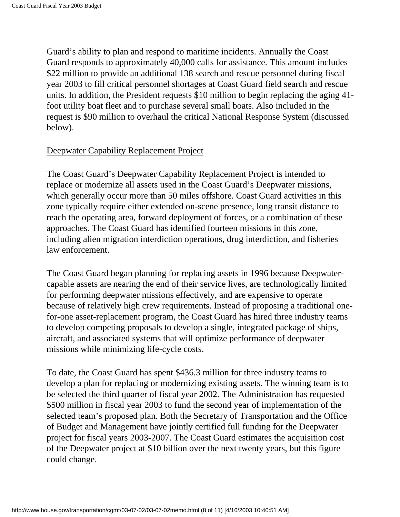Guard's ability to plan and respond to maritime incidents. Annually the Coast Guard responds to approximately 40,000 calls for assistance. This amount includes \$22 million to provide an additional 138 search and rescue personnel during fiscal year 2003 to fill critical personnel shortages at Coast Guard field search and rescue units. In addition, the President requests \$10 million to begin replacing the aging 41 foot utility boat fleet and to purchase several small boats. Also included in the request is \$90 million to overhaul the critical National Response System (discussed below).

#### Deepwater Capability Replacement Project

The Coast Guard's Deepwater Capability Replacement Project is intended to replace or modernize all assets used in the Coast Guard's Deepwater missions, which generally occur more than 50 miles offshore. Coast Guard activities in this zone typically require either extended on-scene presence, long transit distance to reach the operating area, forward deployment of forces, or a combination of these approaches. The Coast Guard has identified fourteen missions in this zone, including alien migration interdiction operations, drug interdiction, and fisheries law enforcement.

The Coast Guard began planning for replacing assets in 1996 because Deepwatercapable assets are nearing the end of their service lives, are technologically limited for performing deepwater missions effectively, and are expensive to operate because of relatively high crew requirements. Instead of proposing a traditional onefor-one asset-replacement program, the Coast Guard has hired three industry teams to develop competing proposals to develop a single, integrated package of ships, aircraft, and associated systems that will optimize performance of deepwater missions while minimizing life-cycle costs.

To date, the Coast Guard has spent \$436.3 million for three industry teams to develop a plan for replacing or modernizing existing assets. The winning team is to be selected the third quarter of fiscal year 2002. The Administration has requested \$500 million in fiscal year 2003 to fund the second year of implementation of the selected team's proposed plan. Both the Secretary of Transportation and the Office of Budget and Management have jointly certified full funding for the Deepwater project for fiscal years 2003-2007. The Coast Guard estimates the acquisition cost of the Deepwater project at \$10 billion over the next twenty years, but this figure could change.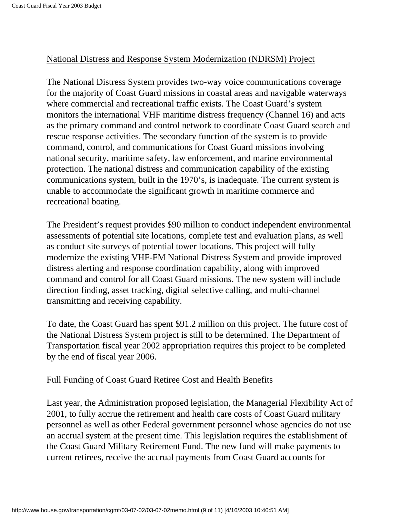#### National Distress and Response System Modernization (NDRSM) Project

The National Distress System provides two-way voice communications coverage for the majority of Coast Guard missions in coastal areas and navigable waterways where commercial and recreational traffic exists. The Coast Guard's system monitors the international VHF maritime distress frequency (Channel 16) and acts as the primary command and control network to coordinate Coast Guard search and rescue response activities. The secondary function of the system is to provide command, control, and communications for Coast Guard missions involving national security, maritime safety, law enforcement, and marine environmental protection. The national distress and communication capability of the existing communications system, built in the 1970's, is inadequate. The current system is unable to accommodate the significant growth in maritime commerce and recreational boating.

The President's request provides \$90 million to conduct independent environmental assessments of potential site locations, complete test and evaluation plans, as well as conduct site surveys of potential tower locations. This project will fully modernize the existing VHF-FM National Distress System and provide improved distress alerting and response coordination capability, along with improved command and control for all Coast Guard missions. The new system will include direction finding, asset tracking, digital selective calling, and multi-channel transmitting and receiving capability.

To date, the Coast Guard has spent \$91.2 million on this project. The future cost of the National Distress System project is still to be determined. The Department of Transportation fiscal year 2002 appropriation requires this project to be completed by the end of fiscal year 2006.

### Full Funding of Coast Guard Retiree Cost and Health Benefits

Last year, the Administration proposed legislation, the Managerial Flexibility Act of 2001, to fully accrue the retirement and health care costs of Coast Guard military personnel as well as other Federal government personnel whose agencies do not use an accrual system at the present time. This legislation requires the establishment of the Coast Guard Military Retirement Fund. The new fund will make payments to current retirees, receive the accrual payments from Coast Guard accounts for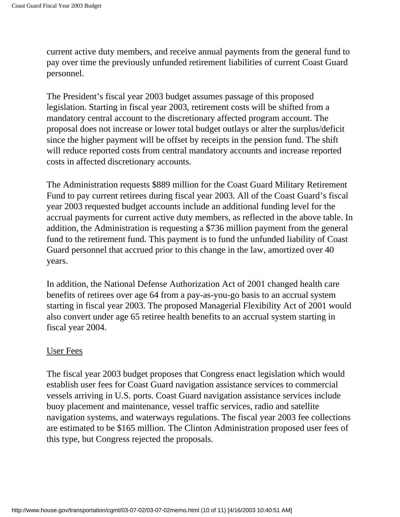current active duty members, and receive annual payments from the general fund to pay over time the previously unfunded retirement liabilities of current Coast Guard personnel.

The President's fiscal year 2003 budget assumes passage of this proposed legislation. Starting in fiscal year 2003, retirement costs will be shifted from a mandatory central account to the discretionary affected program account. The proposal does not increase or lower total budget outlays or alter the surplus/deficit since the higher payment will be offset by receipts in the pension fund. The shift will reduce reported costs from central mandatory accounts and increase reported costs in affected discretionary accounts.

The Administration requests \$889 million for the Coast Guard Military Retirement Fund to pay current retirees during fiscal year 2003. All of the Coast Guard's fiscal year 2003 requested budget accounts include an additional funding level for the accrual payments for current active duty members, as reflected in the above table. In addition, the Administration is requesting a \$736 million payment from the general fund to the retirement fund. This payment is to fund the unfunded liability of Coast Guard personnel that accrued prior to this change in the law, amortized over 40 years.

In addition, the National Defense Authorization Act of 2001 changed health care benefits of retirees over age 64 from a pay-as-you-go basis to an accrual system starting in fiscal year 2003. The proposed Managerial Flexibility Act of 2001 would also convert under age 65 retiree health benefits to an accrual system starting in fiscal year 2004.

#### User Fees

The fiscal year 2003 budget proposes that Congress enact legislation which would establish user fees for Coast Guard navigation assistance services to commercial vessels arriving in U.S. ports. Coast Guard navigation assistance services include buoy placement and maintenance, vessel traffic services, radio and satellite navigation systems, and waterways regulations. The fiscal year 2003 fee collections are estimated to be \$165 million. The Clinton Administration proposed user fees of this type, but Congress rejected the proposals.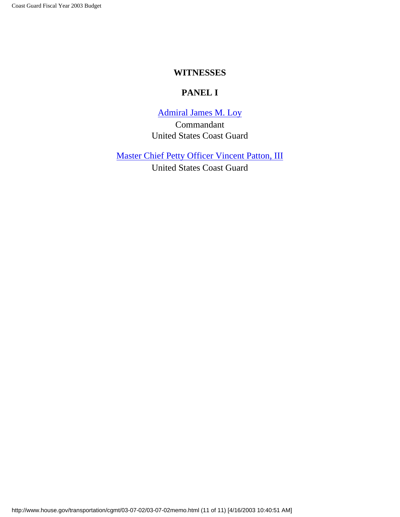#### **WITNESSES**

### **PANEL I**

[Admiral James M. Loy](#page-11-0) Commandant United States Coast Guard

<span id="page-10-0"></span>[Master Chief Petty Officer Vincent Patton, III](#page-21-0)

United States Coast Guard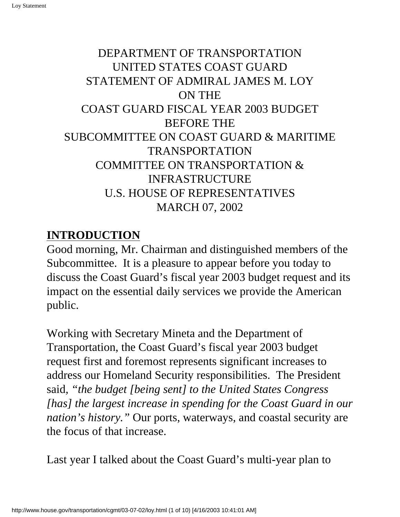<span id="page-11-0"></span>Loy Statement

# DEPARTMENT OF TRANSPORTATION UNITED STATES COAST GUARD STATEMENT OF ADMIRAL JAMES M. LOY ON THE COAST GUARD FISCAL YEAR 2003 BUDGET BEFORE THE SUBCOMMITTEE ON COAST GUARD & MARITIME TRANSPORTATION COMMITTEE ON TRANSPORTATION & INFRASTRUCTURE U.S. HOUSE OF REPRESENTATIVES MARCH 07, 2002

# **INTRODUCTION**

Good morning, Mr. Chairman and distinguished members of the Subcommittee. It is a pleasure to appear before you today to discuss the Coast Guard's fiscal year 2003 budget request and its impact on the essential daily services we provide the American public.

Working with Secretary Mineta and the Department of Transportation, the Coast Guard's fiscal year 2003 budget request first and foremost represents significant increases to address our Homeland Security responsibilities. The President said*, "the budget [being sent] to the United States Congress [has] the largest increase in spending for the Coast Guard in our nation's history."* Our ports, waterways, and coastal security are the focus of that increase.

Last year I talked about the Coast Guard's multi-year plan to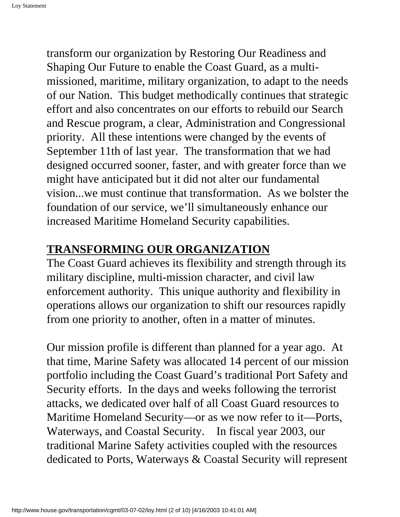transform our organization by Restoring Our Readiness and Shaping Our Future to enable the Coast Guard, as a multimissioned, maritime, military organization, to adapt to the needs of our Nation. This budget methodically continues that strategic effort and also concentrates on our efforts to rebuild our Search and Rescue program, a clear, Administration and Congressional priority. All these intentions were changed by the events of September 11th of last year. The transformation that we had designed occurred sooner, faster, and with greater force than we might have anticipated but it did not alter our fundamental vision...we must continue that transformation. As we bolster the foundation of our service, we'll simultaneously enhance our increased Maritime Homeland Security capabilities.

## **TRANSFORMING OUR ORGANIZATION**

The Coast Guard achieves its flexibility and strength through its military discipline, multi-mission character, and civil law enforcement authority. This unique authority and flexibility in operations allows our organization to shift our resources rapidly from one priority to another, often in a matter of minutes.

Our mission profile is different than planned for a year ago. At that time, Marine Safety was allocated 14 percent of our mission portfolio including the Coast Guard's traditional Port Safety and Security efforts. In the days and weeks following the terrorist attacks, we dedicated over half of all Coast Guard resources to Maritime Homeland Security—or as we now refer to it—Ports, Waterways, and Coastal Security. In fiscal year 2003, our traditional Marine Safety activities coupled with the resources dedicated to Ports, Waterways & Coastal Security will represent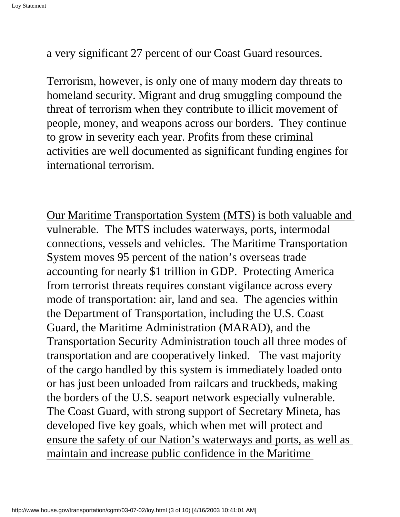a very significant 27 percent of our Coast Guard resources.

Terrorism, however, is only one of many modern day threats to homeland security. Migrant and drug smuggling compound the threat of terrorism when they contribute to illicit movement of people, money, and weapons across our borders. They continue to grow in severity each year. Profits from these criminal activities are well documented as significant funding engines for international terrorism.

Our Maritime Transportation System (MTS) is both valuable and vulnerable. The MTS includes waterways, ports, intermodal connections, vessels and vehicles. The Maritime Transportation System moves 95 percent of the nation's overseas trade accounting for nearly \$1 trillion in GDP. Protecting America from terrorist threats requires constant vigilance across every mode of transportation: air, land and sea. The agencies within the Department of Transportation, including the U.S. Coast Guard, the Maritime Administration (MARAD), and the Transportation Security Administration touch all three modes of transportation and are cooperatively linked. The vast majority of the cargo handled by this system is immediately loaded onto or has just been unloaded from railcars and truckbeds, making the borders of the U.S. seaport network especially vulnerable. The Coast Guard, with strong support of Secretary Mineta, has developed five key goals, which when met will protect and ensure the safety of our Nation's waterways and ports, as well as maintain and increase public confidence in the Maritime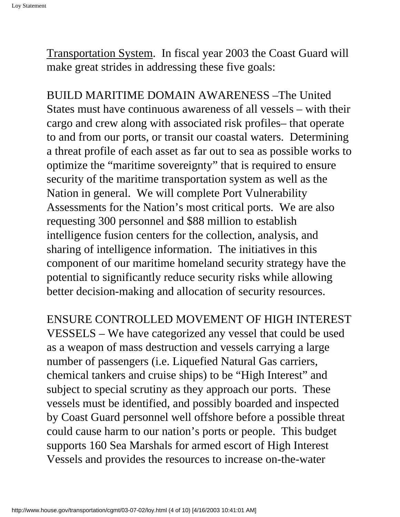Transportation System. In fiscal year 2003 the Coast Guard will make great strides in addressing these five goals:

BUILD MARITIME DOMAIN AWARENESS –The United States must have continuous awareness of all vessels – with their cargo and crew along with associated risk profiles– that operate to and from our ports, or transit our coastal waters. Determining a threat profile of each asset as far out to sea as possible works to optimize the "maritime sovereignty" that is required to ensure security of the maritime transportation system as well as the Nation in general. We will complete Port Vulnerability Assessments for the Nation's most critical ports. We are also requesting 300 personnel and \$88 million to establish intelligence fusion centers for the collection, analysis, and sharing of intelligence information. The initiatives in this component of our maritime homeland security strategy have the potential to significantly reduce security risks while allowing better decision-making and allocation of security resources.

ENSURE CONTROLLED MOVEMENT OF HIGH INTEREST VESSELS – We have categorized any vessel that could be used as a weapon of mass destruction and vessels carrying a large number of passengers (i.e. Liquefied Natural Gas carriers, chemical tankers and cruise ships) to be "High Interest" and subject to special scrutiny as they approach our ports. These vessels must be identified, and possibly boarded and inspected by Coast Guard personnel well offshore before a possible threat could cause harm to our nation's ports or people. This budget supports 160 Sea Marshals for armed escort of High Interest Vessels and provides the resources to increase on-the-water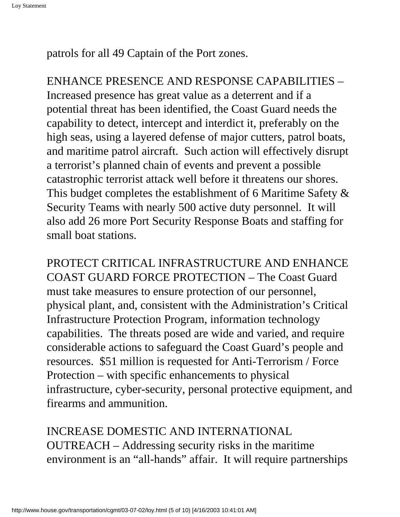patrols for all 49 Captain of the Port zones.

ENHANCE PRESENCE AND RESPONSE CAPABILITIES – Increased presence has great value as a deterrent and if a potential threat has been identified, the Coast Guard needs the capability to detect, intercept and interdict it, preferably on the high seas, using a layered defense of major cutters, patrol boats, and maritime patrol aircraft. Such action will effectively disrupt a terrorist's planned chain of events and prevent a possible catastrophic terrorist attack well before it threatens our shores. This budget completes the establishment of 6 Maritime Safety & Security Teams with nearly 500 active duty personnel. It will also add 26 more Port Security Response Boats and staffing for small boat stations.

PROTECT CRITICAL INFRASTRUCTURE AND ENHANCE COAST GUARD FORCE PROTECTION – The Coast Guard must take measures to ensure protection of our personnel, physical plant, and, consistent with the Administration's Critical Infrastructure Protection Program, information technology capabilities. The threats posed are wide and varied, and require considerable actions to safeguard the Coast Guard's people and resources. \$51 million is requested for Anti-Terrorism / Force Protection – with specific enhancements to physical infrastructure, cyber-security, personal protective equipment, and firearms and ammunition.

INCREASE DOMESTIC AND INTERNATIONAL OUTREACH – Addressing security risks in the maritime environment is an "all-hands" affair. It will require partnerships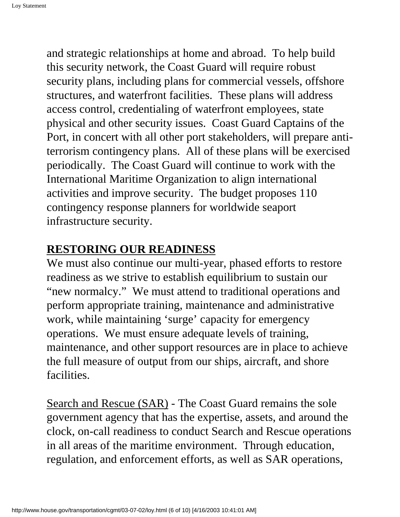and strategic relationships at home and abroad. To help build this security network, the Coast Guard will require robust security plans, including plans for commercial vessels, offshore structures, and waterfront facilities. These plans will address access control, credentialing of waterfront employees, state physical and other security issues. Coast Guard Captains of the Port, in concert with all other port stakeholders, will prepare antiterrorism contingency plans. All of these plans will be exercised periodically. The Coast Guard will continue to work with the International Maritime Organization to align international activities and improve security. The budget proposes 110 contingency response planners for worldwide seaport infrastructure security.

## **RESTORING OUR READINESS**

We must also continue our multi-year, phased efforts to restore readiness as we strive to establish equilibrium to sustain our "new normalcy." We must attend to traditional operations and perform appropriate training, maintenance and administrative work, while maintaining 'surge' capacity for emergency operations. We must ensure adequate levels of training, maintenance, and other support resources are in place to achieve the full measure of output from our ships, aircraft, and shore **facilities** 

Search and Rescue (SAR) - The Coast Guard remains the sole government agency that has the expertise, assets, and around the clock, on-call readiness to conduct Search and Rescue operations in all areas of the maritime environment. Through education, regulation, and enforcement efforts, as well as SAR operations,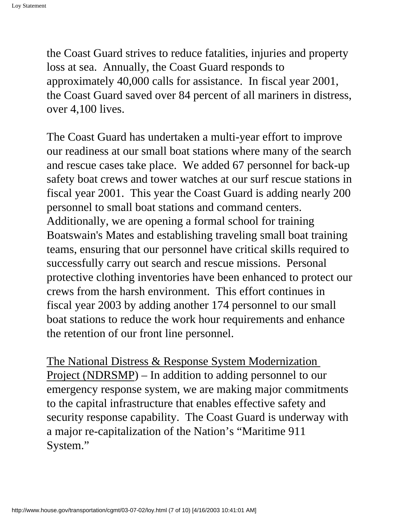the Coast Guard strives to reduce fatalities, injuries and property loss at sea. Annually, the Coast Guard responds to approximately 40,000 calls for assistance. In fiscal year 2001, the Coast Guard saved over 84 percent of all mariners in distress, over 4,100 lives.

The Coast Guard has undertaken a multi-year effort to improve our readiness at our small boat stations where many of the search and rescue cases take place. We added 67 personnel for back-up safety boat crews and tower watches at our surf rescue stations in fiscal year 2001. This year the Coast Guard is adding nearly 200 personnel to small boat stations and command centers. Additionally, we are opening a formal school for training Boatswain's Mates and establishing traveling small boat training teams, ensuring that our personnel have critical skills required to successfully carry out search and rescue missions. Personal protective clothing inventories have been enhanced to protect our crews from the harsh environment. This effort continues in fiscal year 2003 by adding another 174 personnel to our small boat stations to reduce the work hour requirements and enhance the retention of our front line personnel.

The National Distress & Response System Modernization Project (NDRSMP) – In addition to adding personnel to our emergency response system, we are making major commitments to the capital infrastructure that enables effective safety and security response capability. The Coast Guard is underway with a major re-capitalization of the Nation's "Maritime 911 System."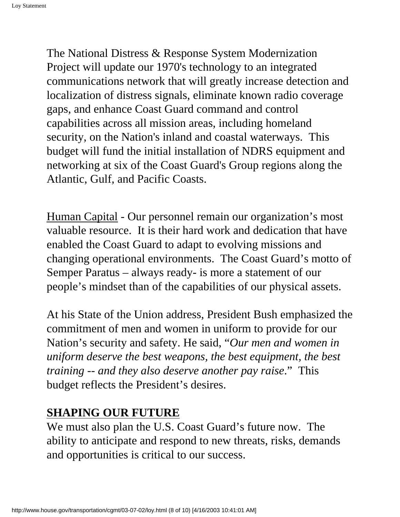The National Distress & Response System Modernization Project will update our 1970's technology to an integrated communications network that will greatly increase detection and localization of distress signals, eliminate known radio coverage gaps, and enhance Coast Guard command and control capabilities across all mission areas, including homeland security, on the Nation's inland and coastal waterways. This budget will fund the initial installation of NDRS equipment and networking at six of the Coast Guard's Group regions along the Atlantic, Gulf, and Pacific Coasts.

Human Capital - Our personnel remain our organization's most valuable resource. It is their hard work and dedication that have enabled the Coast Guard to adapt to evolving missions and changing operational environments. The Coast Guard's motto of Semper Paratus – always ready- is more a statement of our people's mindset than of the capabilities of our physical assets.

At his State of the Union address, President Bush emphasized the commitment of men and women in uniform to provide for our Nation's security and safety. He said, "*Our men and women in uniform deserve the best weapons, the best equipment, the best training -- and they also deserve another pay raise*." This budget reflects the President's desires.

## **SHAPING OUR FUTURE**

We must also plan the U.S. Coast Guard's future now. The ability to anticipate and respond to new threats, risks, demands and opportunities is critical to our success.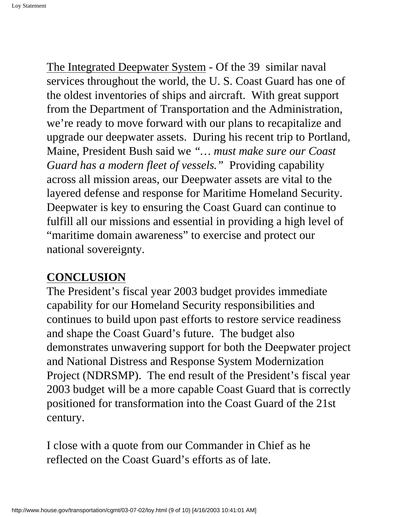The Integrated Deepwater System - Of the 39 similar naval services throughout the world, the U. S. Coast Guard has one of the oldest inventories of ships and aircraft. With great support from the Department of Transportation and the Administration, we're ready to move forward with our plans to recapitalize and upgrade our deepwater assets. During his recent trip to Portland, Maine, President Bush said we *"… must make sure our Coast Guard has a modern fleet of vessels."* Providing capability across all mission areas, our Deepwater assets are vital to the layered defense and response for Maritime Homeland Security. Deepwater is key to ensuring the Coast Guard can continue to fulfill all our missions and essential in providing a high level of "maritime domain awareness" to exercise and protect our national sovereignty.

## **CONCLUSION**

The President's fiscal year 2003 budget provides immediate capability for our Homeland Security responsibilities and continues to build upon past efforts to restore service readiness and shape the Coast Guard's future. The budget also demonstrates unwavering support for both the Deepwater project and National Distress and Response System Modernization Project (NDRSMP). The end result of the President's fiscal year 2003 budget will be a more capable Coast Guard that is correctly positioned for transformation into the Coast Guard of the 21st century.

I close with a quote from our Commander in Chief as he reflected on the Coast Guard's efforts as of late.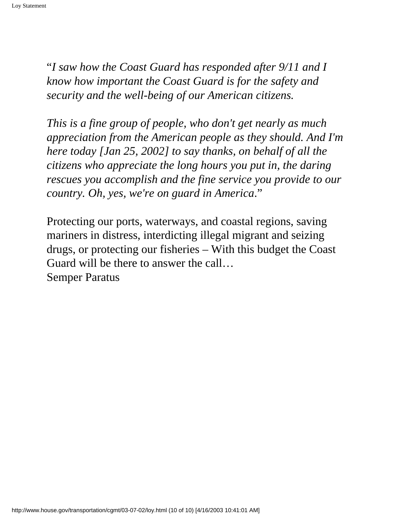"*I saw how the Coast Guard has responded after 9/11 and I know how important the Coast Guard is for the safety and security and the well-being of our American citizens.*

*This is a fine group of people, who don't get nearly as much appreciation from the American people as they should. And I'm here today [Jan 25, 2002] to say thanks, on behalf of all the citizens who appreciate the long hours you put in, the daring rescues you accomplish and the fine service you provide to our country. Oh, yes, we're on guard in America*."

Protecting our ports, waterways, and coastal regions, saving mariners in distress, interdicting illegal migrant and seizing drugs, or protecting our fisheries – With this budget the Coast Guard will be there to answer the call… Semper Paratus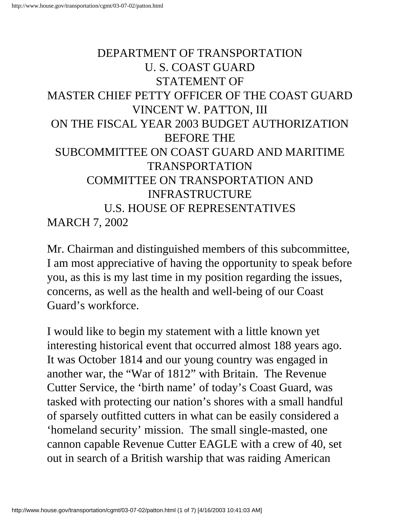# <span id="page-21-0"></span>DEPARTMENT OF TRANSPORTATION U. S. COAST GUARD STATEMENT OF MASTER CHIEF PETTY OFFICER OF THE COAST GUARD VINCENT W. PATTON, III ON THE FISCAL YEAR 2003 BUDGET AUTHORIZATION BEFORE THE SUBCOMMITTEE ON COAST GUARD AND MARITIME TRANSPORTATION COMMITTEE ON TRANSPORTATION AND INFRASTRUCTURE U.S. HOUSE OF REPRESENTATIVES MARCH 7, 2002

Mr. Chairman and distinguished members of this subcommittee, I am most appreciative of having the opportunity to speak before you, as this is my last time in my position regarding the issues, concerns, as well as the health and well-being of our Coast Guard's workforce.

I would like to begin my statement with a little known yet interesting historical event that occurred almost 188 years ago. It was October 1814 and our young country was engaged in another war, the "War of 1812" with Britain. The Revenue Cutter Service, the 'birth name' of today's Coast Guard, was tasked with protecting our nation's shores with a small handful of sparsely outfitted cutters in what can be easily considered a 'homeland security' mission. The small single-masted, one cannon capable Revenue Cutter EAGLE with a crew of 40, set out in search of a British warship that was raiding American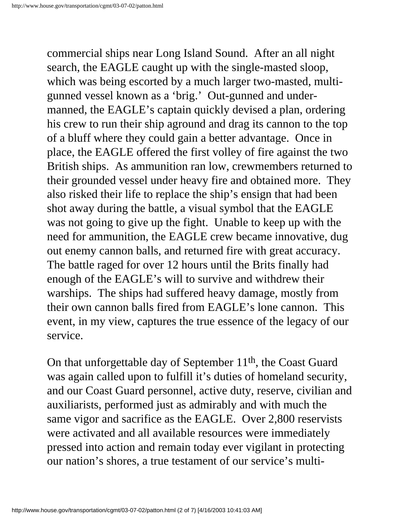commercial ships near Long Island Sound. After an all night search, the EAGLE caught up with the single-masted sloop, which was being escorted by a much larger two-masted, multigunned vessel known as a 'brig.' Out-gunned and undermanned, the EAGLE's captain quickly devised a plan, ordering his crew to run their ship aground and drag its cannon to the top of a bluff where they could gain a better advantage. Once in place, the EAGLE offered the first volley of fire against the two British ships. As ammunition ran low, crewmembers returned to their grounded vessel under heavy fire and obtained more. They also risked their life to replace the ship's ensign that had been shot away during the battle, a visual symbol that the EAGLE was not going to give up the fight. Unable to keep up with the need for ammunition, the EAGLE crew became innovative, dug out enemy cannon balls, and returned fire with great accuracy. The battle raged for over 12 hours until the Brits finally had enough of the EAGLE's will to survive and withdrew their warships. The ships had suffered heavy damage, mostly from their own cannon balls fired from EAGLE's lone cannon. This event, in my view, captures the true essence of the legacy of our service.

On that unforgettable day of September 11th, the Coast Guard was again called upon to fulfill it's duties of homeland security, and our Coast Guard personnel, active duty, reserve, civilian and auxiliarists, performed just as admirably and with much the same vigor and sacrifice as the EAGLE. Over 2,800 reservists were activated and all available resources were immediately pressed into action and remain today ever vigilant in protecting our nation's shores, a true testament of our service's multi-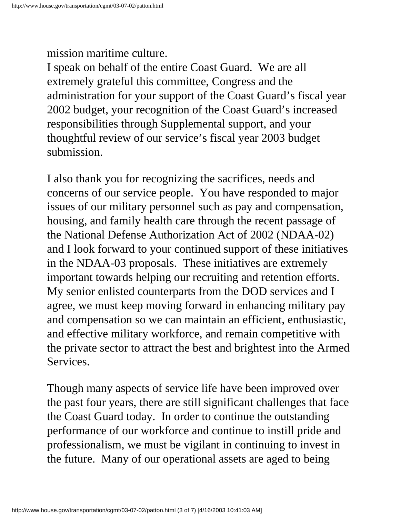## mission maritime culture.

I speak on behalf of the entire Coast Guard. We are all extremely grateful this committee, Congress and the administration for your support of the Coast Guard's fiscal year 2002 budget, your recognition of the Coast Guard's increased responsibilities through Supplemental support, and your thoughtful review of our service's fiscal year 2003 budget submission.

I also thank you for recognizing the sacrifices, needs and concerns of our service people. You have responded to major issues of our military personnel such as pay and compensation, housing, and family health care through the recent passage of the National Defense Authorization Act of 2002 (NDAA-02) and I look forward to your continued support of these initiatives in the NDAA-03 proposals. These initiatives are extremely important towards helping our recruiting and retention efforts. My senior enlisted counterparts from the DOD services and I agree, we must keep moving forward in enhancing military pay and compensation so we can maintain an efficient, enthusiastic, and effective military workforce, and remain competitive with the private sector to attract the best and brightest into the Armed Services.

Though many aspects of service life have been improved over the past four years, there are still significant challenges that face the Coast Guard today. In order to continue the outstanding performance of our workforce and continue to instill pride and professionalism, we must be vigilant in continuing to invest in the future. Many of our operational assets are aged to being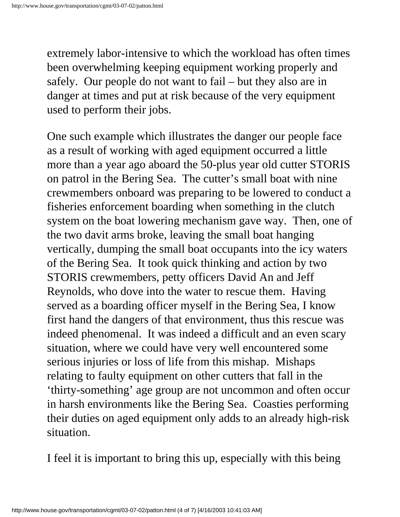extremely labor-intensive to which the workload has often times been overwhelming keeping equipment working properly and safely. Our people do not want to fail – but they also are in danger at times and put at risk because of the very equipment used to perform their jobs.

One such example which illustrates the danger our people face as a result of working with aged equipment occurred a little more than a year ago aboard the 50-plus year old cutter STORIS on patrol in the Bering Sea. The cutter's small boat with nine crewmembers onboard was preparing to be lowered to conduct a fisheries enforcement boarding when something in the clutch system on the boat lowering mechanism gave way. Then, one of the two davit arms broke, leaving the small boat hanging vertically, dumping the small boat occupants into the icy waters of the Bering Sea. It took quick thinking and action by two STORIS crewmembers, petty officers David An and Jeff Reynolds, who dove into the water to rescue them. Having served as a boarding officer myself in the Bering Sea, I know first hand the dangers of that environment, thus this rescue was indeed phenomenal. It was indeed a difficult and an even scary situation, where we could have very well encountered some serious injuries or loss of life from this mishap. Mishaps relating to faulty equipment on other cutters that fall in the 'thirty-something' age group are not uncommon and often occur in harsh environments like the Bering Sea. Coasties performing their duties on aged equipment only adds to an already high-risk situation.

I feel it is important to bring this up, especially with this being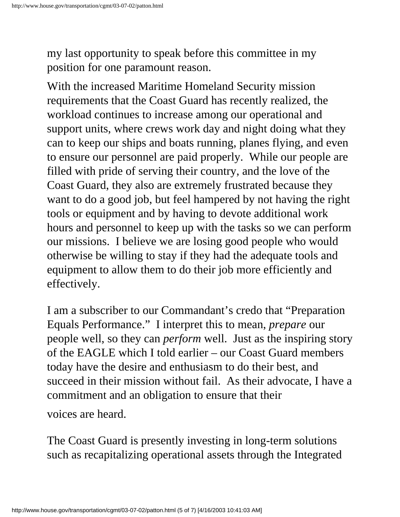my last opportunity to speak before this committee in my position for one paramount reason.

With the increased Maritime Homeland Security mission requirements that the Coast Guard has recently realized, the workload continues to increase among our operational and support units, where crews work day and night doing what they can to keep our ships and boats running, planes flying, and even to ensure our personnel are paid properly. While our people are filled with pride of serving their country, and the love of the Coast Guard, they also are extremely frustrated because they want to do a good job, but feel hampered by not having the right tools or equipment and by having to devote additional work hours and personnel to keep up with the tasks so we can perform our missions. I believe we are losing good people who would otherwise be willing to stay if they had the adequate tools and equipment to allow them to do their job more efficiently and effectively.

I am a subscriber to our Commandant's credo that "Preparation Equals Performance." I interpret this to mean, *prepare* our people well, so they can *perform* well. Just as the inspiring story of the EAGLE which I told earlier – our Coast Guard members today have the desire and enthusiasm to do their best, and succeed in their mission without fail. As their advocate, I have a commitment and an obligation to ensure that their

voices are heard.

The Coast Guard is presently investing in long-term solutions such as recapitalizing operational assets through the Integrated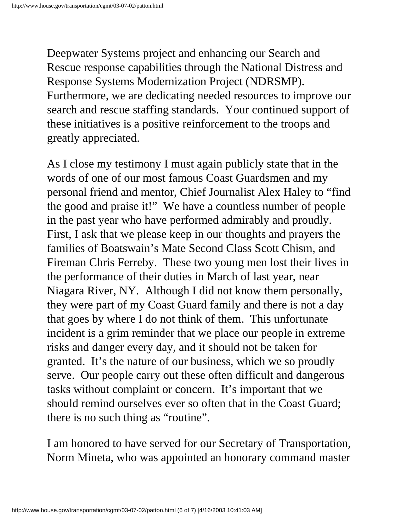Deepwater Systems project and enhancing our Search and Rescue response capabilities through the National Distress and Response Systems Modernization Project (NDRSMP). Furthermore, we are dedicating needed resources to improve our search and rescue staffing standards. Your continued support of these initiatives is a positive reinforcement to the troops and greatly appreciated.

As I close my testimony I must again publicly state that in the words of one of our most famous Coast Guardsmen and my personal friend and mentor, Chief Journalist Alex Haley to "find the good and praise it!" We have a countless number of people in the past year who have performed admirably and proudly. First, I ask that we please keep in our thoughts and prayers the families of Boatswain's Mate Second Class Scott Chism, and Fireman Chris Ferreby. These two young men lost their lives in the performance of their duties in March of last year, near Niagara River, NY. Although I did not know them personally, they were part of my Coast Guard family and there is not a day that goes by where I do not think of them. This unfortunate incident is a grim reminder that we place our people in extreme risks and danger every day, and it should not be taken for granted. It's the nature of our business, which we so proudly serve. Our people carry out these often difficult and dangerous tasks without complaint or concern. It's important that we should remind ourselves ever so often that in the Coast Guard; there is no such thing as "routine".

I am honored to have served for our Secretary of Transportation, Norm Mineta, who was appointed an honorary command master